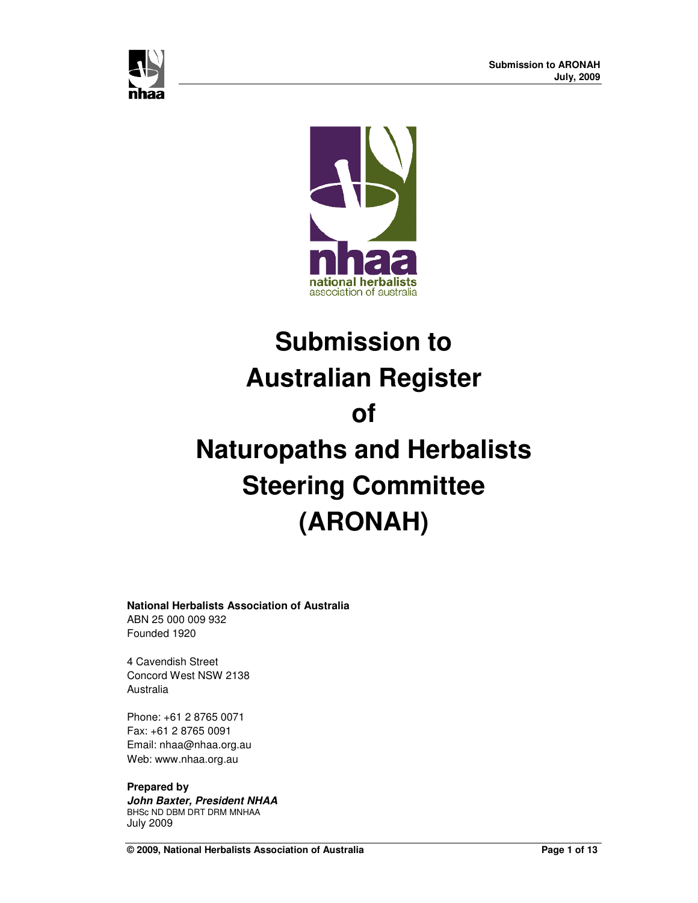



# **Submission to Australian Register of Naturopaths and Herbalists Steering Committee (ARONAH)**

#### **National Herbalists Association of Australia**

ABN 25 000 009 932 Founded 1920

4 Cavendish Street Concord West NSW 2138 Australia

Phone: +61 2 8765 0071 Fax: +61 2 8765 0091 Email: nhaa@nhaa.org.au Web: www.nhaa.org.au

# **Prepared by**

**John Baxter, President NHAA**  BHSc ND DBM DRT DRM MNHAA July 2009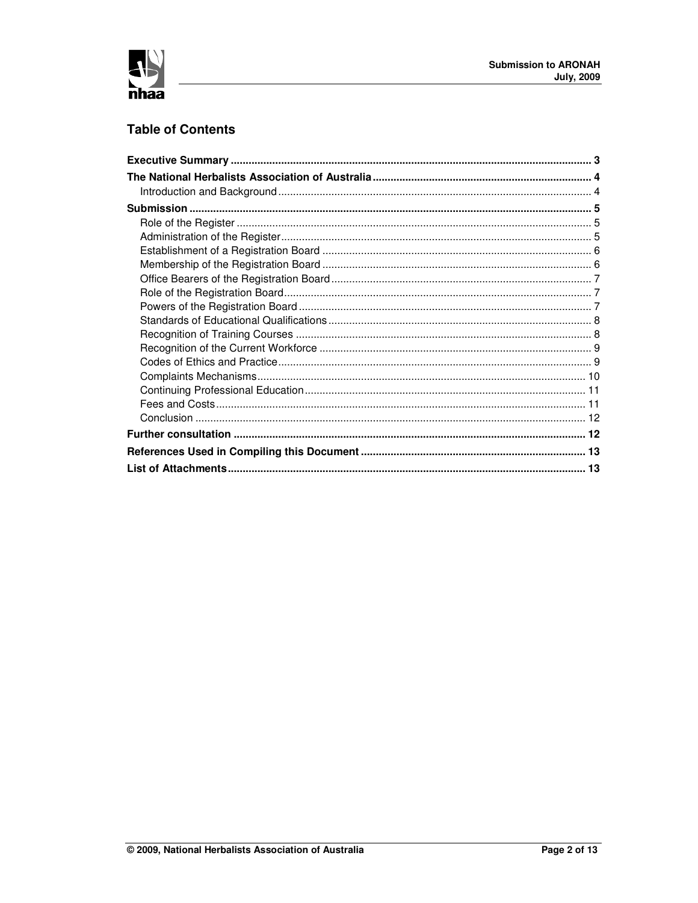

# **Table of Contents**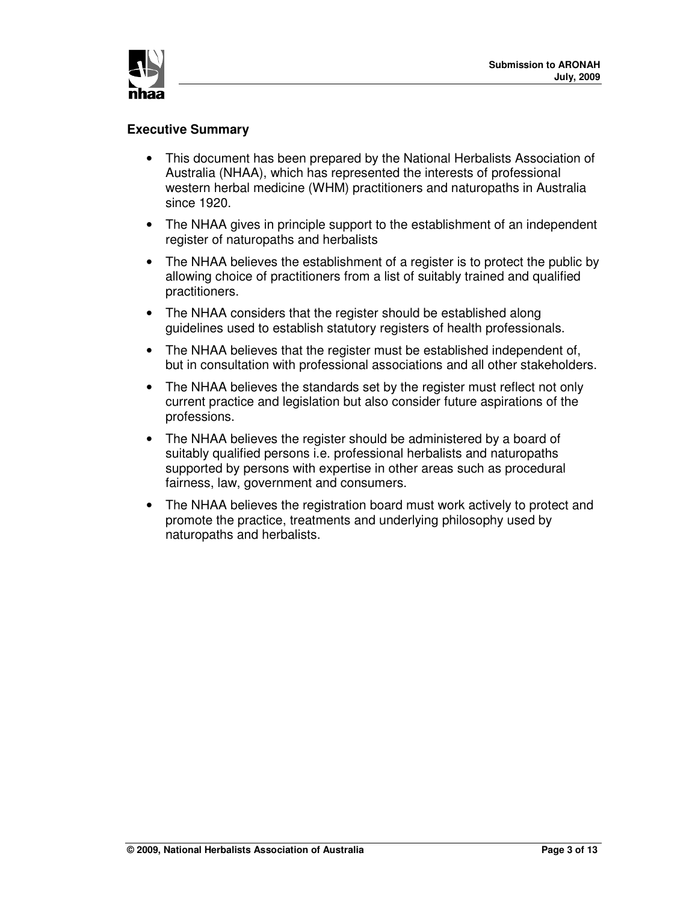

## **Executive Summary**

- This document has been prepared by the National Herbalists Association of Australia (NHAA), which has represented the interests of professional western herbal medicine (WHM) practitioners and naturopaths in Australia since 1920.
- The NHAA gives in principle support to the establishment of an independent register of naturopaths and herbalists
- The NHAA believes the establishment of a register is to protect the public by allowing choice of practitioners from a list of suitably trained and qualified practitioners.
- The NHAA considers that the register should be established along guidelines used to establish statutory registers of health professionals.
- The NHAA believes that the register must be established independent of, but in consultation with professional associations and all other stakeholders.
- The NHAA believes the standards set by the register must reflect not only current practice and legislation but also consider future aspirations of the professions.
- The NHAA believes the register should be administered by a board of suitably qualified persons i.e. professional herbalists and naturopaths supported by persons with expertise in other areas such as procedural fairness, law, government and consumers.
- The NHAA believes the registration board must work actively to protect and promote the practice, treatments and underlying philosophy used by naturopaths and herbalists.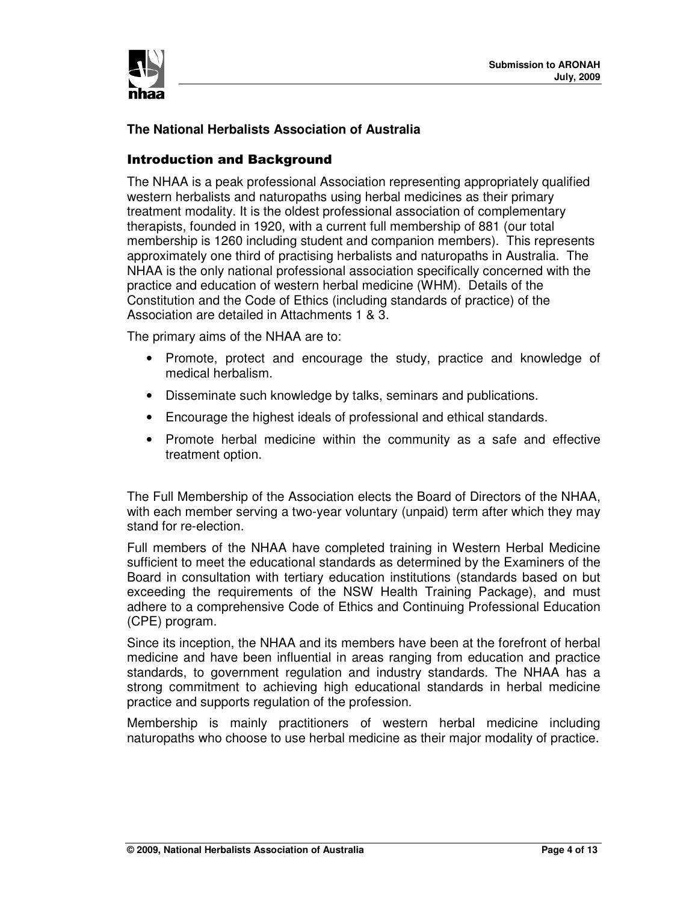

# **The National Herbalists Association of Australia**

## Introduction and Background

The NHAA is a peak professional Association representing appropriately qualified western herbalists and naturopaths using herbal medicines as their primary treatment modality. It is the oldest professional association of complementary therapists, founded in 1920, with a current full membership of 881 (our total membership is 1260 including student and companion members). This represents approximately one third of practising herbalists and naturopaths in Australia. The NHAA is the only national professional association specifically concerned with the practice and education of western herbal medicine (WHM). Details of the Constitution and the Code of Ethics (including standards of practice) of the Association are detailed in Attachments 1 & 3.

The primary aims of the NHAA are to:

- Promote, protect and encourage the study, practice and knowledge of medical herbalism.
- Disseminate such knowledge by talks, seminars and publications.
- Encourage the highest ideals of professional and ethical standards.
- Promote herbal medicine within the community as a safe and effective treatment option.

The Full Membership of the Association elects the Board of Directors of the NHAA, with each member serving a two-year voluntary (unpaid) term after which they may stand for re-election.

Full members of the NHAA have completed training in Western Herbal Medicine sufficient to meet the educational standards as determined by the Examiners of the Board in consultation with tertiary education institutions (standards based on but exceeding the requirements of the NSW Health Training Package), and must adhere to a comprehensive Code of Ethics and Continuing Professional Education (CPE) program.

Since its inception, the NHAA and its members have been at the forefront of herbal medicine and have been influential in areas ranging from education and practice standards, to government regulation and industry standards. The NHAA has a strong commitment to achieving high educational standards in herbal medicine practice and supports regulation of the profession.

Membership is mainly practitioners of western herbal medicine including naturopaths who choose to use herbal medicine as their major modality of practice.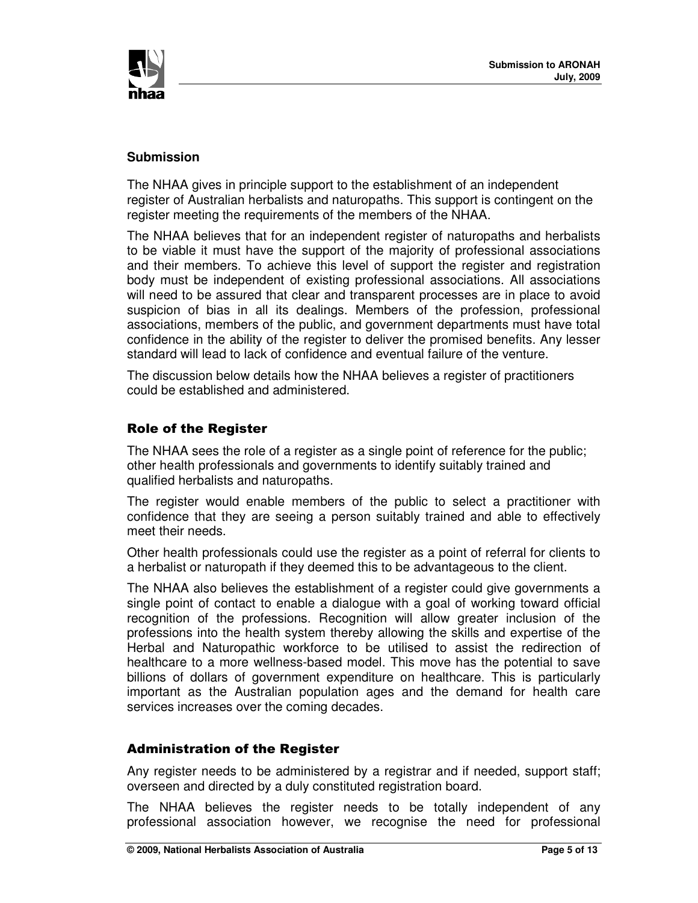

## **Submission**

The NHAA gives in principle support to the establishment of an independent register of Australian herbalists and naturopaths. This support is contingent on the register meeting the requirements of the members of the NHAA.

The NHAA believes that for an independent register of naturopaths and herbalists to be viable it must have the support of the majority of professional associations and their members. To achieve this level of support the register and registration body must be independent of existing professional associations. All associations will need to be assured that clear and transparent processes are in place to avoid suspicion of bias in all its dealings. Members of the profession, professional associations, members of the public, and government departments must have total confidence in the ability of the register to deliver the promised benefits. Any lesser standard will lead to lack of confidence and eventual failure of the venture.

The discussion below details how the NHAA believes a register of practitioners could be established and administered.

## **Role of the Register**

The NHAA sees the role of a register as a single point of reference for the public; other health professionals and governments to identify suitably trained and qualified herbalists and naturopaths.

The register would enable members of the public to select a practitioner with confidence that they are seeing a person suitably trained and able to effectively meet their needs.

Other health professionals could use the register as a point of referral for clients to a herbalist or naturopath if they deemed this to be advantageous to the client.

The NHAA also believes the establishment of a register could give governments a single point of contact to enable a dialogue with a goal of working toward official recognition of the professions. Recognition will allow greater inclusion of the professions into the health system thereby allowing the skills and expertise of the Herbal and Naturopathic workforce to be utilised to assist the redirection of healthcare to a more wellness-based model. This move has the potential to save billions of dollars of government expenditure on healthcare. This is particularly important as the Australian population ages and the demand for health care services increases over the coming decades.

#### Administration of the Register

Any register needs to be administered by a registrar and if needed, support staff; overseen and directed by a duly constituted registration board.

The NHAA believes the register needs to be totally independent of any professional association however, we recognise the need for professional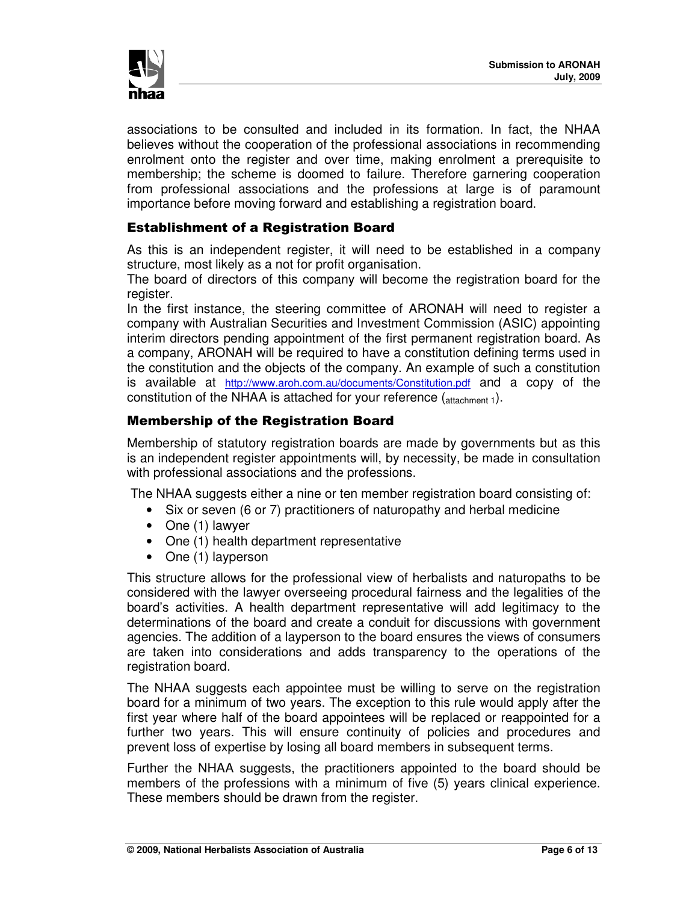

associations to be consulted and included in its formation. In fact, the NHAA believes without the cooperation of the professional associations in recommending enrolment onto the register and over time, making enrolment a prerequisite to membership; the scheme is doomed to failure. Therefore garnering cooperation from professional associations and the professions at large is of paramount importance before moving forward and establishing a registration board.

# Establishment of a Registration Board

As this is an independent register, it will need to be established in a company structure, most likely as a not for profit organisation.

The board of directors of this company will become the registration board for the register.

In the first instance, the steering committee of ARONAH will need to register a company with Australian Securities and Investment Commission (ASIC) appointing interim directors pending appointment of the first permanent registration board. As a company, ARONAH will be required to have a constitution defining terms used in the constitution and the objects of the company. An example of such a constitution is available at http://www.aroh.com.au/documents/Constitution.pdf and a copy of the constitution of the NHAA is attached for your reference  $(atanment 1)$ .

# **Membership of the Registration Board**

Membership of statutory registration boards are made by governments but as this is an independent register appointments will, by necessity, be made in consultation with professional associations and the professions.

The NHAA suggests either a nine or ten member registration board consisting of:

- Six or seven (6 or 7) practitioners of naturopathy and herbal medicine
- One (1) lawyer
- One (1) health department representative
- One (1) layperson

This structure allows for the professional view of herbalists and naturopaths to be considered with the lawyer overseeing procedural fairness and the legalities of the board's activities. A health department representative will add legitimacy to the determinations of the board and create a conduit for discussions with government agencies. The addition of a layperson to the board ensures the views of consumers are taken into considerations and adds transparency to the operations of the registration board.

The NHAA suggests each appointee must be willing to serve on the registration board for a minimum of two years. The exception to this rule would apply after the first year where half of the board appointees will be replaced or reappointed for a further two years. This will ensure continuity of policies and procedures and prevent loss of expertise by losing all board members in subsequent terms.

Further the NHAA suggests, the practitioners appointed to the board should be members of the professions with a minimum of five (5) years clinical experience. These members should be drawn from the register.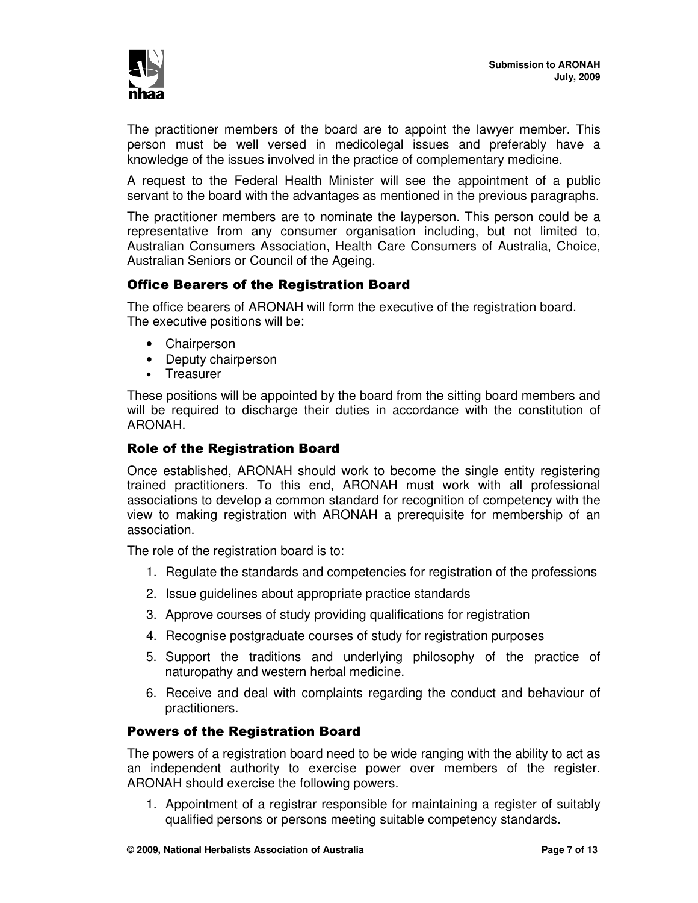

The practitioner members of the board are to appoint the lawyer member. This person must be well versed in medicolegal issues and preferably have a knowledge of the issues involved in the practice of complementary medicine.

A request to the Federal Health Minister will see the appointment of a public servant to the board with the advantages as mentioned in the previous paragraphs.

The practitioner members are to nominate the layperson. This person could be a representative from any consumer organisation including, but not limited to, Australian Consumers Association, Health Care Consumers of Australia, Choice, Australian Seniors or Council of the Ageing.

# Office Bearers of the Registration Board

The office bearers of ARONAH will form the executive of the registration board. The executive positions will be:

- Chairperson
- Deputy chairperson
- Treasurer

These positions will be appointed by the board from the sitting board members and will be required to discharge their duties in accordance with the constitution of ARONAH.

## **Role of the Registration Board**

Once established, ARONAH should work to become the single entity registering trained practitioners. To this end, ARONAH must work with all professional associations to develop a common standard for recognition of competency with the view to making registration with ARONAH a prerequisite for membership of an association.

The role of the registration board is to:

- 1. Regulate the standards and competencies for registration of the professions
- 2. Issue guidelines about appropriate practice standards
- 3. Approve courses of study providing qualifications for registration
- 4. Recognise postgraduate courses of study for registration purposes
- 5. Support the traditions and underlying philosophy of the practice of naturopathy and western herbal medicine.
- 6. Receive and deal with complaints regarding the conduct and behaviour of practitioners.

#### **Powers of the Registration Board**

The powers of a registration board need to be wide ranging with the ability to act as an independent authority to exercise power over members of the register. ARONAH should exercise the following powers.

1. Appointment of a registrar responsible for maintaining a register of suitably qualified persons or persons meeting suitable competency standards.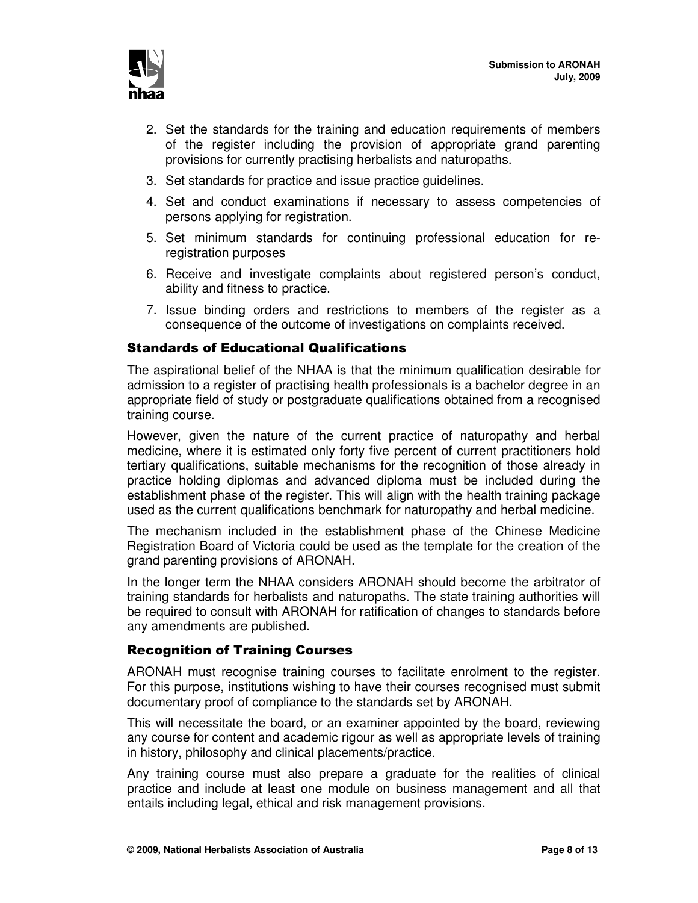

- 2. Set the standards for the training and education requirements of members of the register including the provision of appropriate grand parenting provisions for currently practising herbalists and naturopaths.
- 3. Set standards for practice and issue practice guidelines.
- 4. Set and conduct examinations if necessary to assess competencies of persons applying for registration.
- 5. Set minimum standards for continuing professional education for reregistration purposes
- 6. Receive and investigate complaints about registered person's conduct, ability and fitness to practice.
- 7. Issue binding orders and restrictions to members of the register as a consequence of the outcome of investigations on complaints received.

## Standards of Educational Qualifications

The aspirational belief of the NHAA is that the minimum qualification desirable for admission to a register of practising health professionals is a bachelor degree in an appropriate field of study or postgraduate qualifications obtained from a recognised training course.

However, given the nature of the current practice of naturopathy and herbal medicine, where it is estimated only forty five percent of current practitioners hold tertiary qualifications, suitable mechanisms for the recognition of those already in practice holding diplomas and advanced diploma must be included during the establishment phase of the register. This will align with the health training package used as the current qualifications benchmark for naturopathy and herbal medicine.

The mechanism included in the establishment phase of the Chinese Medicine Registration Board of Victoria could be used as the template for the creation of the grand parenting provisions of ARONAH.

In the longer term the NHAA considers ARONAH should become the arbitrator of training standards for herbalists and naturopaths. The state training authorities will be required to consult with ARONAH for ratification of changes to standards before any amendments are published.

## **Recognition of Training Courses**

ARONAH must recognise training courses to facilitate enrolment to the register. For this purpose, institutions wishing to have their courses recognised must submit documentary proof of compliance to the standards set by ARONAH.

This will necessitate the board, or an examiner appointed by the board, reviewing any course for content and academic rigour as well as appropriate levels of training in history, philosophy and clinical placements/practice.

Any training course must also prepare a graduate for the realities of clinical practice and include at least one module on business management and all that entails including legal, ethical and risk management provisions.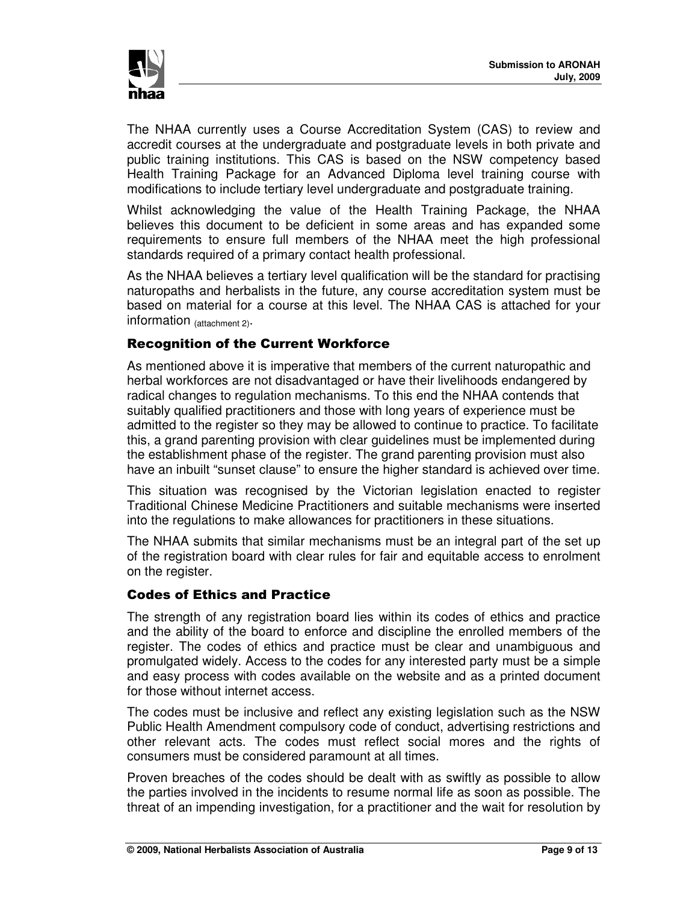

The NHAA currently uses a Course Accreditation System (CAS) to review and accredit courses at the undergraduate and postgraduate levels in both private and public training institutions. This CAS is based on the NSW competency based Health Training Package for an Advanced Diploma level training course with modifications to include tertiary level undergraduate and postgraduate training.

Whilst acknowledging the value of the Health Training Package, the NHAA believes this document to be deficient in some areas and has expanded some requirements to ensure full members of the NHAA meet the high professional standards required of a primary contact health professional.

As the NHAA believes a tertiary level qualification will be the standard for practising naturopaths and herbalists in the future, any course accreditation system must be based on material for a course at this level. The NHAA CAS is attached for your information (attachment 2).

# Recognition of the Current Workforce

As mentioned above it is imperative that members of the current naturopathic and herbal workforces are not disadvantaged or have their livelihoods endangered by radical changes to regulation mechanisms. To this end the NHAA contends that suitably qualified practitioners and those with long years of experience must be admitted to the register so they may be allowed to continue to practice. To facilitate this, a grand parenting provision with clear guidelines must be implemented during the establishment phase of the register. The grand parenting provision must also have an inbuilt "sunset clause" to ensure the higher standard is achieved over time.

This situation was recognised by the Victorian legislation enacted to register Traditional Chinese Medicine Practitioners and suitable mechanisms were inserted into the regulations to make allowances for practitioners in these situations.

The NHAA submits that similar mechanisms must be an integral part of the set up of the registration board with clear rules for fair and equitable access to enrolment on the register.

#### **Codes of Ethics and Practice**

The strength of any registration board lies within its codes of ethics and practice and the ability of the board to enforce and discipline the enrolled members of the register. The codes of ethics and practice must be clear and unambiguous and promulgated widely. Access to the codes for any interested party must be a simple and easy process with codes available on the website and as a printed document for those without internet access.

The codes must be inclusive and reflect any existing legislation such as the NSW Public Health Amendment compulsory code of conduct, advertising restrictions and other relevant acts. The codes must reflect social mores and the rights of consumers must be considered paramount at all times.

Proven breaches of the codes should be dealt with as swiftly as possible to allow the parties involved in the incidents to resume normal life as soon as possible. The threat of an impending investigation, for a practitioner and the wait for resolution by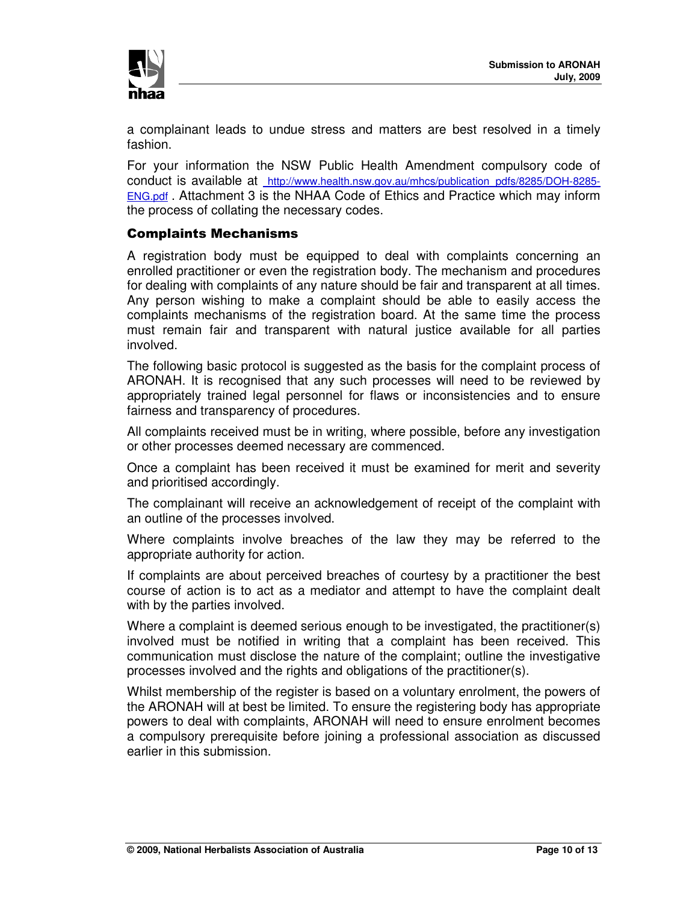

a complainant leads to undue stress and matters are best resolved in a timely fashion.

For your information the NSW Public Health Amendment compulsory code of conduct is available at http://www.health.nsw.gov.au/mhcs/publication\_pdfs/8285/DOH-8285- ENG.pdf . Attachment 3 is the NHAA Code of Ethics and Practice which may inform the process of collating the necessary codes.

# Complaints Mechanisms

A registration body must be equipped to deal with complaints concerning an enrolled practitioner or even the registration body. The mechanism and procedures for dealing with complaints of any nature should be fair and transparent at all times. Any person wishing to make a complaint should be able to easily access the complaints mechanisms of the registration board. At the same time the process must remain fair and transparent with natural justice available for all parties involved.

The following basic protocol is suggested as the basis for the complaint process of ARONAH. It is recognised that any such processes will need to be reviewed by appropriately trained legal personnel for flaws or inconsistencies and to ensure fairness and transparency of procedures.

All complaints received must be in writing, where possible, before any investigation or other processes deemed necessary are commenced.

Once a complaint has been received it must be examined for merit and severity and prioritised accordingly.

The complainant will receive an acknowledgement of receipt of the complaint with an outline of the processes involved.

Where complaints involve breaches of the law they may be referred to the appropriate authority for action.

If complaints are about perceived breaches of courtesy by a practitioner the best course of action is to act as a mediator and attempt to have the complaint dealt with by the parties involved.

Where a complaint is deemed serious enough to be investigated, the practitioner(s) involved must be notified in writing that a complaint has been received. This communication must disclose the nature of the complaint; outline the investigative processes involved and the rights and obligations of the practitioner(s).

Whilst membership of the register is based on a voluntary enrolment, the powers of the ARONAH will at best be limited. To ensure the registering body has appropriate powers to deal with complaints, ARONAH will need to ensure enrolment becomes a compulsory prerequisite before joining a professional association as discussed earlier in this submission.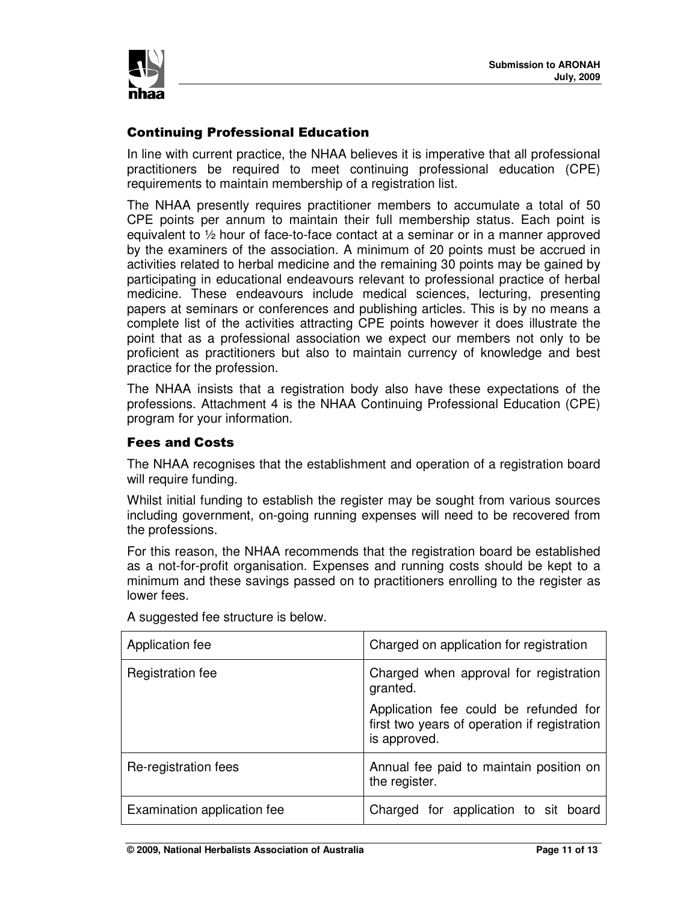

# **Continuing Professional Education**

In line with current practice, the NHAA believes it is imperative that all professional practitioners be required to meet continuing professional education (CPE) requirements to maintain membership of a registration list.

The NHAA presently requires practitioner members to accumulate a total of 50 CPE points per annum to maintain their full membership status. Each point is equivalent to ½ hour of face-to-face contact at a seminar or in a manner approved by the examiners of the association. A minimum of 20 points must be accrued in activities related to herbal medicine and the remaining 30 points may be gained by participating in educational endeavours relevant to professional practice of herbal medicine. These endeavours include medical sciences, lecturing, presenting papers at seminars or conferences and publishing articles. This is by no means a complete list of the activities attracting CPE points however it does illustrate the point that as a professional association we expect our members not only to be proficient as practitioners but also to maintain currency of knowledge and best practice for the profession.

The NHAA insists that a registration body also have these expectations of the professions. Attachment 4 is the NHAA Continuing Professional Education (CPE) program for your information.

# Fees and Costs

The NHAA recognises that the establishment and operation of a registration board will require funding.

Whilst initial funding to establish the register may be sought from various sources including government, on-going running expenses will need to be recovered from the professions.

For this reason, the NHAA recommends that the registration board be established as a not-for-profit organisation. Expenses and running costs should be kept to a minimum and these savings passed on to practitioners enrolling to the register as lower fees.

| Application fee             | Charged on application for registration                                                               |
|-----------------------------|-------------------------------------------------------------------------------------------------------|
| Registration fee            | Charged when approval for registration<br>granted.                                                    |
|                             | Application fee could be refunded for<br>first two years of operation if registration<br>is approved. |
| Re-registration fees        | Annual fee paid to maintain position on<br>the register.                                              |
| Examination application fee | Charged for application to sit board                                                                  |

A suggested fee structure is below.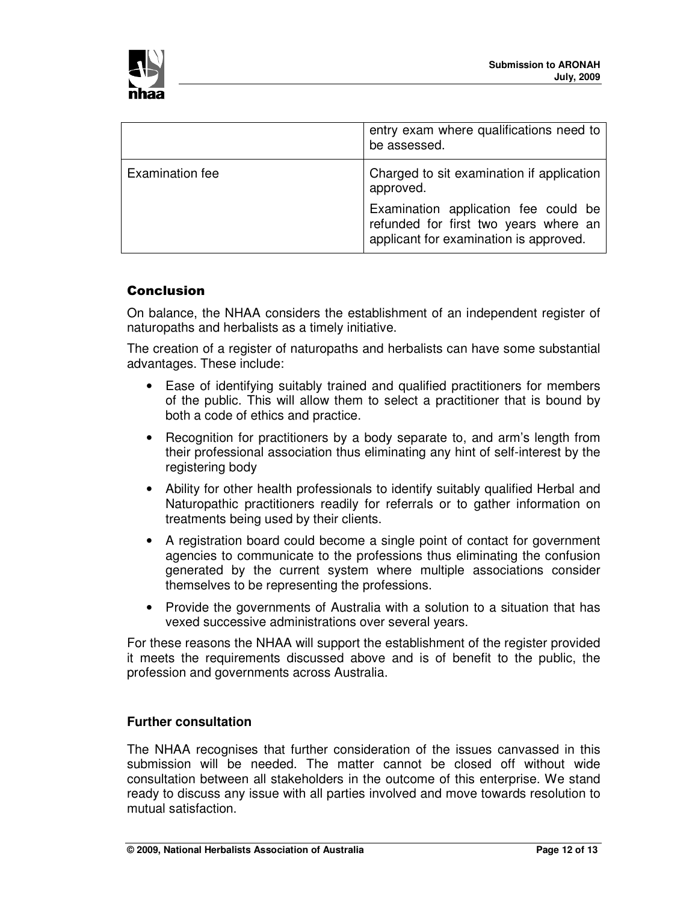

|                 | entry exam where qualifications need to<br>be assessed.                                                                 |
|-----------------|-------------------------------------------------------------------------------------------------------------------------|
| Examination fee | Charged to sit examination if application<br>approved.                                                                  |
|                 | Examination application fee could be<br>refunded for first two years where an<br>applicant for examination is approved. |

## Conclusion

On balance, the NHAA considers the establishment of an independent register of naturopaths and herbalists as a timely initiative.

The creation of a register of naturopaths and herbalists can have some substantial advantages. These include:

- Ease of identifying suitably trained and qualified practitioners for members of the public. This will allow them to select a practitioner that is bound by both a code of ethics and practice.
- Recognition for practitioners by a body separate to, and arm's length from their professional association thus eliminating any hint of self-interest by the registering body
- Ability for other health professionals to identify suitably qualified Herbal and Naturopathic practitioners readily for referrals or to gather information on treatments being used by their clients.
- A registration board could become a single point of contact for government agencies to communicate to the professions thus eliminating the confusion generated by the current system where multiple associations consider themselves to be representing the professions.
- Provide the governments of Australia with a solution to a situation that has vexed successive administrations over several years.

For these reasons the NHAA will support the establishment of the register provided it meets the requirements discussed above and is of benefit to the public, the profession and governments across Australia.

#### **Further consultation**

The NHAA recognises that further consideration of the issues canvassed in this submission will be needed. The matter cannot be closed off without wide consultation between all stakeholders in the outcome of this enterprise. We stand ready to discuss any issue with all parties involved and move towards resolution to mutual satisfaction.